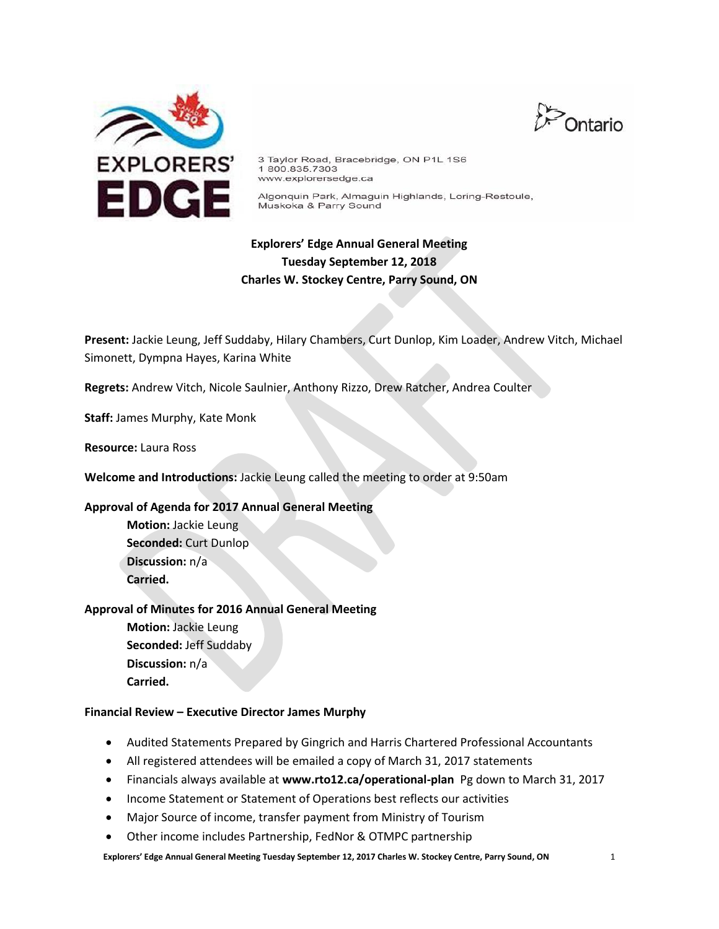



3 Taylor Road, Bracebridge, ON P1L 1S6 1800.835.7303 www.explorersedge.ca

Algonquin Park, Almaguin Highlands, Loring-Restoule, Muskoka & Parry Sound

# **Explorers' Edge Annual General Meeting Tuesday September 12, 2018 Charles W. Stockey Centre, Parry Sound, ON**

**Present:** Jackie Leung, Jeff Suddaby, Hilary Chambers, Curt Dunlop, Kim Loader, Andrew Vitch, Michael Simonett, Dympna Hayes, Karina White

**Regrets:** Andrew Vitch, Nicole Saulnier, Anthony Rizzo, Drew Ratcher, Andrea Coulter

**Staff:** James Murphy, Kate Monk

**Resource:** Laura Ross

**Welcome and Introductions:** Jackie Leung called the meeting to order at 9:50am

## **Approval of Agenda for 2017 Annual General Meeting**

**Motion:** Jackie Leung **Seconded:** Curt Dunlop **Discussion:** n/a **Carried.**

## **Approval of Minutes for 2016 Annual General Meeting**

**Motion:** Jackie Leung **Seconded:** Jeff Suddaby **Discussion:** n/a **Carried.**

## **Financial Review – Executive Director James Murphy**

- Audited Statements Prepared by Gingrich and Harris Chartered Professional Accountants
- All registered attendees will be emailed a copy of March 31, 2017 statements
- Financials always available at **www.rto12.ca/operational-plan** Pg down to March 31, 2017
- Income Statement or Statement of Operations best reflects our activities
- Major Source of income, transfer payment from Ministry of Tourism
- Other income includes Partnership, FedNor & OTMPC partnership

**Explorers' Edge Annual General Meeting Tuesday September 12, 2017 Charles W. Stockey Centre, Parry Sound, ON** 1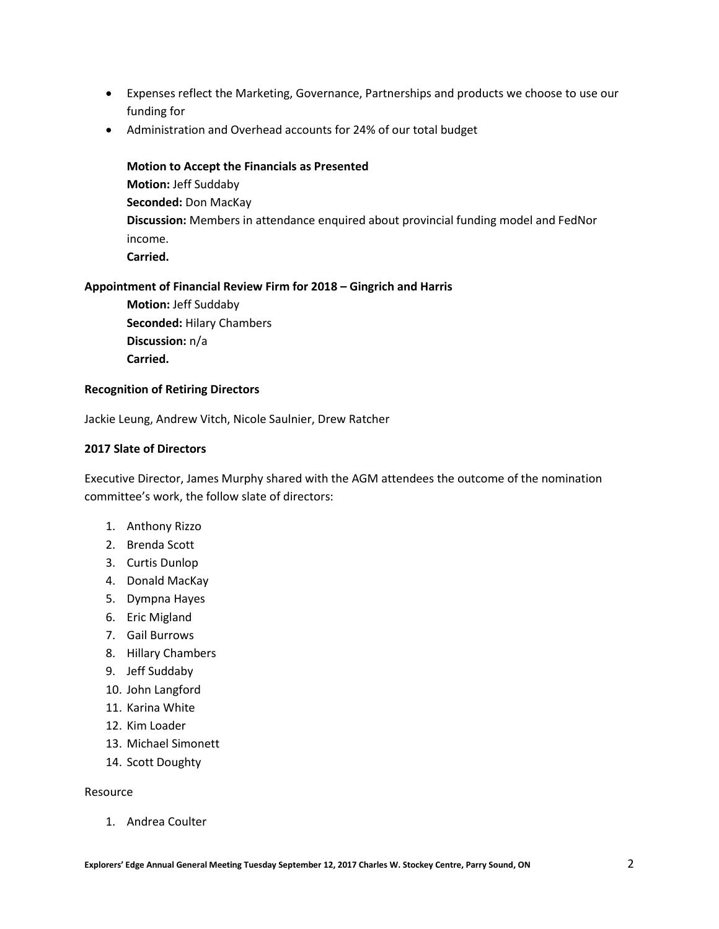- Expenses reflect the Marketing, Governance, Partnerships and products we choose to use our funding for
- Administration and Overhead accounts for 24% of our total budget

**Motion to Accept the Financials as Presented Motion:** Jeff Suddaby **Seconded:** Don MacKay **Discussion:** Members in attendance enquired about provincial funding model and FedNor income. **Carried.**

## **Appointment of Financial Review Firm for 2018 – Gingrich and Harris**

**Motion:** Jeff Suddaby **Seconded:** Hilary Chambers **Discussion:** n/a **Carried.**

## **Recognition of Retiring Directors**

Jackie Leung, Andrew Vitch, Nicole Saulnier, Drew Ratcher

## **2017 Slate of Directors**

Executive Director, James Murphy shared with the AGM attendees the outcome of the nomination committee's work, the follow slate of directors:

- 1. Anthony Rizzo
- 2. Brenda Scott
- 3. Curtis Dunlop
- 4. Donald MacKay
- 5. Dympna Hayes
- 6. Eric Migland
- 7. Gail Burrows
- 8. Hillary Chambers
- 9. Jeff Suddaby
- 10. John Langford
- 11. Karina White
- 12. Kim Loader
- 13. Michael Simonett
- 14. Scott Doughty

## Resource

1. Andrea Coulter